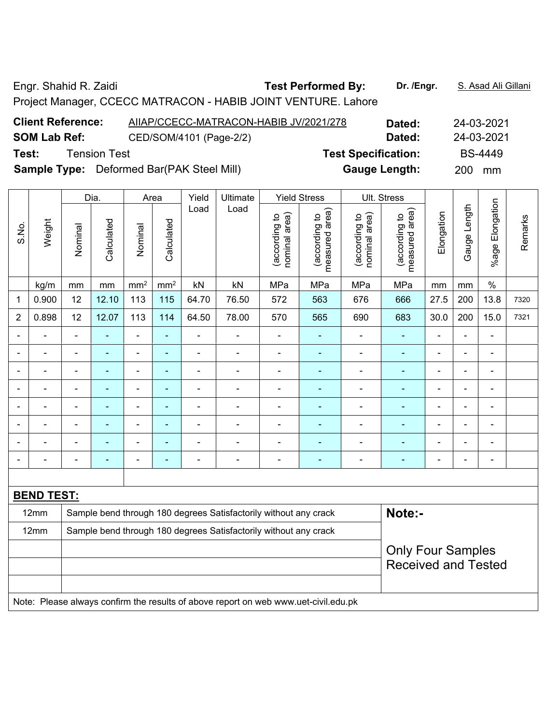Engr. Shahid R. Zaidi **Test Performed By:** Dr. /Engr. **S. Asad Ali Gillani** Company Company Company Company Company

Project Manager, CCECC MATRACON - HABIB JOINT VENTURE. Lahore

| <b>Client Reference:</b> | AIIAP/CCECC-MATRACON-HABIB JV/2021/278           | Dated:                     | 24-03-2021       |
|--------------------------|--------------------------------------------------|----------------------------|------------------|
| <b>SOM Lab Ref:</b>      | CED/SOM/4101 (Page-2/2)                          | Dated:                     | 24-03-2021       |
| Test:                    | <b>Tension Test</b>                              | <b>Test Specification:</b> | <b>BS-4449</b>   |
|                          | <b>Sample Type:</b> Deformed Bar(PAK Steel Mill) | <b>Gauge Length:</b>       | <b>200</b><br>mm |

|                |                   |         | Dia.           |                              | Area                     | Yield                    | <b>Ultimate</b>                                                  |                                | <b>Yield Stress</b>             |                                | Ult. Stress                                            |                              |                |                          |         |
|----------------|-------------------|---------|----------------|------------------------------|--------------------------|--------------------------|------------------------------------------------------------------|--------------------------------|---------------------------------|--------------------------------|--------------------------------------------------------|------------------------------|----------------|--------------------------|---------|
| S.No.          | Weight            | Nominal | Calculated     | Nominal                      | Calculated               | Load                     | Load                                                             | nominal area)<br>(according to | measured area)<br>(according to | (according to<br>nominal area) | area)<br>(according to<br>measured                     | Elongation                   | Gauge Length   | Elongation<br>%age       | Remarks |
|                | kg/m              | mm      | mm             | mm <sup>2</sup>              | mm <sup>2</sup>          | kN                       | kN                                                               | MPa                            | MPa                             | MPa                            | MPa                                                    | mm                           | mm             | $\%$                     |         |
| 1              | 0.900             | 12      | 12.10          | 113                          | 115                      | 64.70                    | 76.50                                                            | 572                            | 563                             | 676                            | 666                                                    | 27.5                         | 200            | 13.8                     | 7320    |
| $\overline{2}$ | 0.898             | 12      | 12.07          | 113                          | 114                      | 64.50                    | 78.00                                                            | 570                            | 565                             | 690                            | 683                                                    | 30.0                         | 200            | 15.0                     | 7321    |
|                |                   |         |                | $\qquad \qquad \blacksquare$ | $\blacksquare$           | ۰                        |                                                                  |                                |                                 |                                |                                                        | $\blacksquare$               | L,             | $\blacksquare$           |         |
|                | ۳                 |         |                | ÷                            | $\overline{\phantom{0}}$ | ۰                        | $\overline{\phantom{0}}$                                         |                                | ۰                               |                                |                                                        |                              | L,             | $\blacksquare$           |         |
|                |                   |         |                | ۰                            | $\overline{\phantom{0}}$ | ۰                        |                                                                  |                                | ۰                               |                                |                                                        | $\overline{\phantom{0}}$     | Ē,             |                          |         |
|                | ۰                 |         | $\blacksquare$ | ÷                            | ٠                        | $\overline{\phantom{0}}$ | $\blacksquare$                                                   |                                | $\overline{\phantom{0}}$        |                                |                                                        | $\overline{\phantom{0}}$     | Ē,             | $\blacksquare$           |         |
|                | -                 |         |                | ۰                            | ٠                        | $\overline{\phantom{0}}$ | ۳                                                                |                                | -                               |                                |                                                        | $\qquad \qquad \blacksquare$ | -              |                          |         |
|                | ۰                 |         |                | ÷                            | ۳                        | ۰                        |                                                                  |                                |                                 |                                |                                                        |                              | Ē,             |                          |         |
|                |                   |         |                | $\overline{a}$               | -                        | $\blacksquare$           |                                                                  |                                |                                 |                                |                                                        |                              | $\blacksquare$ |                          |         |
|                | ۳                 |         |                | $\overline{a}$               | $\overline{\phantom{0}}$ | $\blacksquare$           | $\blacksquare$                                                   | $\blacksquare$                 | ۰                               |                                |                                                        | $\overline{\phantom{0}}$     | $\blacksquare$ | $\overline{\phantom{0}}$ |         |
|                |                   |         |                |                              |                          |                          |                                                                  |                                |                                 |                                |                                                        |                              |                |                          |         |
|                | <b>BEND TEST:</b> |         |                |                              |                          |                          |                                                                  |                                |                                 |                                |                                                        |                              |                |                          |         |
|                | 12mm              |         |                |                              |                          |                          | Sample bend through 180 degrees Satisfactorily without any crack |                                |                                 |                                | Note:-                                                 |                              |                |                          |         |
|                | 12mm              |         |                |                              |                          |                          | Sample bend through 180 degrees Satisfactorily without any crack |                                |                                 |                                |                                                        |                              |                |                          |         |
|                |                   |         |                |                              |                          |                          |                                                                  |                                |                                 |                                | <b>Only Four Samples</b><br><b>Received and Tested</b> |                              |                |                          |         |

Note: Please always confirm the results of above report on web www.uet-civil.edu.pk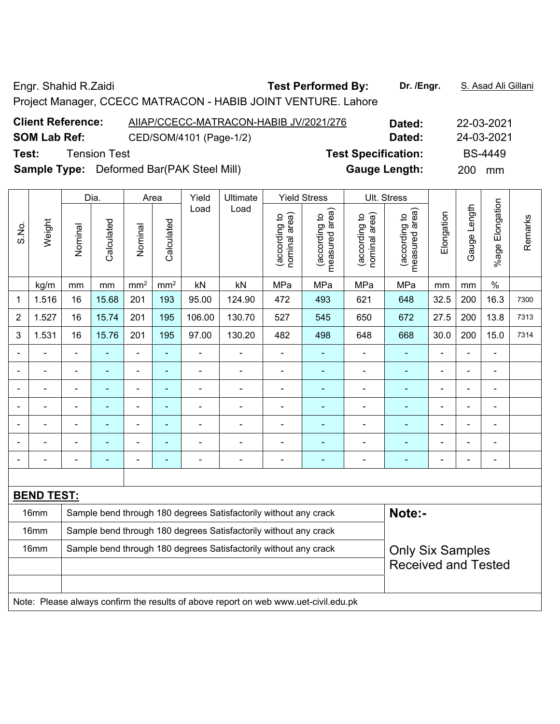Engr. Shahid R.Zaidi **Test Performed By: Dr. /Engr.** S. Asad Ali Gillani

Project Manager, CCECC MATRACON - HABIB JOINT VENTURE. Lahore

| <b>Client Reference:</b> | AIIAP/CCECC-MATRACON-HABIB JV/2021/276           | Dated:                     | 22-03-2021       |
|--------------------------|--------------------------------------------------|----------------------------|------------------|
| <b>SOM Lab Ref:</b>      | CED/SOM/4101 (Page-1/2)                          | Dated:                     | 24-03-2021       |
| Test:                    | <b>Tension Test</b>                              | <b>Test Specification:</b> | <b>BS-4449</b>   |
|                          | <b>Sample Type:</b> Deformed Bar(PAK Steel Mill) | <b>Gauge Length:</b>       | <b>200</b><br>mm |
|                          |                                                  |                            |                  |

|                |                   |                | Dia.                                                                       |                 | Area                     | Yield                    | Ultimate                                                         |                                | <b>Yield Stress</b>             |                                | Ult. Stress                                           |                          |                |                          |         |
|----------------|-------------------|----------------|----------------------------------------------------------------------------|-----------------|--------------------------|--------------------------|------------------------------------------------------------------|--------------------------------|---------------------------------|--------------------------------|-------------------------------------------------------|--------------------------|----------------|--------------------------|---------|
| S.No.          | Weight            | Nominal        | Calculated                                                                 | Nominal         | Calculated               | Load                     | Load                                                             | nominal area)<br>(according to | measured area)<br>(according to | nominal area)<br>(according to | measured area)<br>(according to                       | Elongation               | Gauge Length   | Elongation<br>%age l     | Remarks |
|                | kg/m              | mm             | mm                                                                         | mm <sup>2</sup> | mm <sup>2</sup>          | kN                       | kN                                                               | MPa                            | MPa                             | MPa                            | MPa                                                   | mm                       | mm             | $\%$                     |         |
| 1              | 1.516             | 16             | 15.68                                                                      | 201             | 193                      | 95.00                    | 124.90                                                           | 472                            | 493                             | 621                            | 648                                                   | 32.5                     | 200            | 16.3                     | 7300    |
| 2              | 1.527             | 16             | 15.74                                                                      | 201             | 195                      | 106.00                   | 130.70                                                           | 527                            | 545                             | 650                            | 672                                                   | 27.5                     | 200            | 13.8                     | 7313    |
| 3              | 1.531             | 16             | 15.76                                                                      | 201             | 195                      | 97.00                    | 130.20                                                           | 482                            | 498                             | 648                            | 668                                                   | 30.0                     | 200            | 15.0                     | 7314    |
|                |                   | $\blacksquare$ |                                                                            | ÷,              | ÷                        |                          | $\blacksquare$                                                   | $\overline{a}$                 |                                 |                                |                                                       | $\blacksquare$           | $\blacksquare$ | $\blacksquare$           |         |
|                | ÷                 | ۰              | ÷                                                                          | $\blacksquare$  | $\blacksquare$           | $\blacksquare$           | $\blacksquare$                                                   | $\qquad \qquad \blacksquare$   | $\overline{\phantom{0}}$        | ۰                              |                                                       |                          | $\overline{a}$ | $\overline{\phantom{a}}$ |         |
|                |                   |                | $\blacksquare$                                                             | $\blacksquare$  | $\blacksquare$           | $\blacksquare$           | $\blacksquare$                                                   | $\blacksquare$                 | ۰                               | $\blacksquare$                 | $\blacksquare$                                        |                          |                | $\blacksquare$           |         |
| $\blacksquare$ |                   | ۰              | $\blacksquare$                                                             | $\blacksquare$  | $\overline{\phantom{0}}$ | $\blacksquare$           |                                                                  | $\blacksquare$                 | ۰                               | -                              |                                                       | $\blacksquare$           | $\blacksquare$ | $\blacksquare$           |         |
|                | $\overline{a}$    | $\blacksquare$ | $\blacksquare$                                                             | $\blacksquare$  | ٠                        | $\blacksquare$           |                                                                  | $\blacksquare$                 | ۰                               | $\blacksquare$                 |                                                       |                          | $\blacksquare$ | $\blacksquare$           |         |
|                |                   |                | $\blacksquare$                                                             | $\blacksquare$  | $\blacksquare$           |                          |                                                                  |                                | ۰                               |                                |                                                       |                          |                | $\blacksquare$           |         |
| $\blacksquare$ |                   | ۰              | ۰                                                                          | ÷               | ÷                        | $\overline{\phantom{0}}$ | ۰                                                                | $\blacksquare$                 | $\overline{\phantom{0}}$        | -                              | ۰                                                     | $\overline{\phantom{a}}$ | $\blacksquare$ | $\blacksquare$           |         |
|                |                   |                |                                                                            |                 |                          |                          |                                                                  |                                |                                 |                                |                                                       |                          |                |                          |         |
|                | <b>BEND TEST:</b> |                |                                                                            |                 |                          |                          |                                                                  |                                |                                 |                                |                                                       |                          |                |                          |         |
|                | 16mm              |                | Note:-<br>Sample bend through 180 degrees Satisfactorily without any crack |                 |                          |                          |                                                                  |                                |                                 |                                |                                                       |                          |                |                          |         |
|                | 16mm              |                |                                                                            |                 |                          |                          | Sample bend through 180 degrees Satisfactorily without any crack |                                |                                 |                                |                                                       |                          |                |                          |         |
|                | 16mm              |                |                                                                            |                 |                          |                          | Sample bend through 180 degrees Satisfactorily without any crack |                                |                                 |                                | <b>Only Six Samples</b><br><b>Received and Tested</b> |                          |                |                          |         |
|                |                   |                |                                                                            |                 |                          |                          |                                                                  |                                |                                 |                                |                                                       |                          |                |                          |         |

Note: Please always confirm the results of above report on web www.uet-civil.edu.pk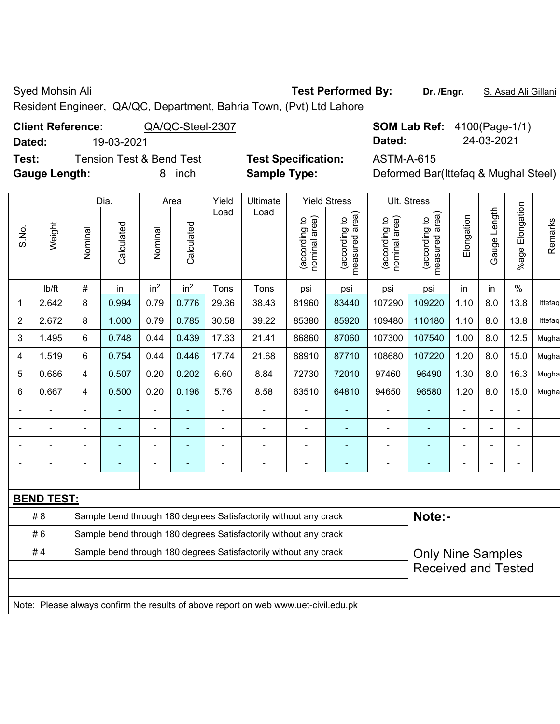Syed Mohsin Ali **Test Performed By:** Dr. /Engr. **S. Asad Ali Gillani** Cycle Ali Gillani

Resident Engineer, QA/QC, Department, Bahria Town, (Pvt) Ltd Lahore

# **Client Reference:** QA/QC-Steel-2307 **SOM Lab Ref:** 4100(Page-1/1)

**Test:** Tension Test & Bend Test **Test Specification:** ASTM-A-615 **Gauge Length:** 8 inch **Sample Type:** Deformed Bar(Ittefaq & Mughal Steel)

**Dated:** 19-03-2021 **Dated:** 24-03-2021

|                |                   |                         | Dia.       |                 | Area            | Yield                    | Ultimate                                                         |                                | <b>Yield Stress</b>                |                                | Ult. Stress                     |                |                          |                          |         |
|----------------|-------------------|-------------------------|------------|-----------------|-----------------|--------------------------|------------------------------------------------------------------|--------------------------------|------------------------------------|--------------------------------|---------------------------------|----------------|--------------------------|--------------------------|---------|
| S.No.          | Weight            | Nominal                 | Calculated | Nominal         | Calculated      | Load                     | Load                                                             | nominal area)<br>(according to | area)<br>(according to<br>measured | nominal area)<br>(according to | measured area)<br>(according to | Elongation     | Gauge Length             | %age Elongation          | Remarks |
|                | lb/ft             | $\#$                    | in         | in <sup>2</sup> | in <sup>2</sup> | Tons                     | Tons                                                             | psi                            | psi                                | psi                            | psi                             | in             | in                       | $\%$                     |         |
| 1              | 2.642             | 8                       | 0.994      | 0.79            | 0.776           | 29.36                    | 38.43                                                            | 81960                          | 83440                              | 107290                         | 109220                          | 1.10           | 8.0                      | 13.8                     | Ittefaq |
| $\overline{2}$ | 2.672             | 8                       | 1.000      | 0.79            | 0.785           | 30.58                    | 39.22                                                            | 85380                          | 85920                              | 109480                         | 110180                          | 1.10           | 8.0                      | 13.8                     | Ittefaq |
| 3              | 1.495             | 6                       | 0.748      | 0.44            | 0.439           | 17.33                    | 21.41                                                            | 86860                          | 87060                              | 107300                         | 107540                          | 1.00           | 8.0                      | 12.5                     | Mugha   |
| 4              | 1.519             | 6                       | 0.754      | 0.44            | 0.446           | 17.74                    | 21.68                                                            | 88910                          | 87710                              | 108680                         | 107220                          | 1.20           | 8.0                      | 15.0                     | Mugha   |
| 5              | 0.686             | $\overline{\mathbf{4}}$ | 0.507      | 0.20            | 0.202           | 6.60                     | 8.84                                                             | 72730                          | 72010                              | 97460                          | 96490                           | 1.30           | 8.0                      | 16.3                     | Mugha   |
| 6              | 0.667             | 4                       | 0.500      | 0.20            | 0.196           | 5.76                     | 8.58                                                             | 63510                          | 64810                              | 94650                          | 96580                           | 1.20           | 8.0                      | 15.0                     | Mugha   |
| $\blacksquare$ |                   | $\blacksquare$          |            | $\blacksquare$  | $\blacksquare$  | $\blacksquare$           | $\overline{\phantom{a}}$                                         | $\blacksquare$                 |                                    | $\blacksquare$                 | ۰                               | $\blacksquare$ | $\blacksquare$           | $\blacksquare$           |         |
| $\blacksquare$ |                   |                         |            |                 |                 | $\overline{\phantom{0}}$ |                                                                  |                                |                                    | $\overline{\phantom{0}}$       |                                 | $\blacksquare$ | $\blacksquare$           | ۰                        |         |
| $\blacksquare$ |                   |                         |            |                 |                 | $\blacksquare$           |                                                                  | $\blacksquare$                 |                                    | $\overline{a}$                 |                                 | $\blacksquare$ | $\overline{\phantom{0}}$ | -                        |         |
|                |                   |                         |            |                 | $\blacksquare$  | $\blacksquare$           |                                                                  |                                | ٠                                  | $\overline{a}$                 | ٠                               | $\blacksquare$ |                          | $\overline{\phantom{0}}$ |         |
|                |                   |                         |            |                 |                 |                          |                                                                  |                                |                                    |                                |                                 |                |                          |                          |         |
|                | <b>BEND TEST:</b> |                         |            |                 |                 |                          |                                                                  |                                |                                    |                                |                                 |                |                          |                          |         |
|                | # 8               |                         |            |                 |                 |                          | Sample bend through 180 degrees Satisfactorily without any crack |                                |                                    |                                | Note:-                          |                |                          |                          |         |
|                | #6                |                         |            |                 |                 |                          | Sample bend through 180 degrees Satisfactorily without any crack |                                |                                    |                                |                                 |                |                          |                          |         |
|                | #4                |                         |            |                 |                 |                          | Sample bend through 180 degrees Satisfactorily without any crack |                                |                                    |                                | <b>Only Nine Samples</b>        |                |                          |                          |         |
|                |                   |                         |            |                 |                 |                          |                                                                  |                                |                                    |                                | <b>Received and Tested</b>      |                |                          |                          |         |

Note: Please always confirm the results of above report on web www.uet-civil.edu.pk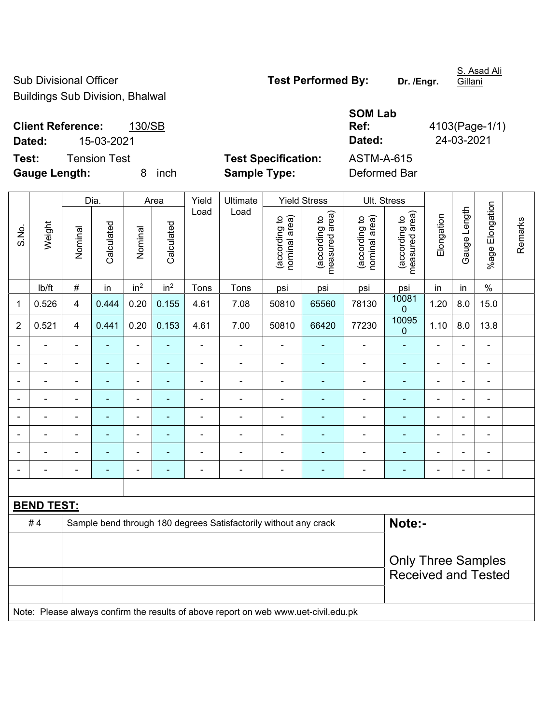Sub Divisional Officer **Test Performed By:** Dr. /Engr.

S. Asad Ali

**Ref:** 4103(Page-1/1)

Buildings Sub Division, Bhalwal

### **Client Reference:** 130/SB **Dated:** 15-03-2021 **Dated:** 24-03-2021

**Test:** Tension Test **Test Specification:** ASTM-A-615 **Gauge Length:** 8 inch **Sample Type:** Deformed Bar

**SOM Lab** 

|                |                   |                         | Dia.           |                 | Area            | Yield                    | Ultimate                                                                            |                                | <b>Yield Stress</b>             |                                | Ult. Stress                     |                |                |                          |         |
|----------------|-------------------|-------------------------|----------------|-----------------|-----------------|--------------------------|-------------------------------------------------------------------------------------|--------------------------------|---------------------------------|--------------------------------|---------------------------------|----------------|----------------|--------------------------|---------|
| S.No.          | Weight            | Nominal                 | Calculated     | Nominal         | Calculated      | Load                     | Load                                                                                | nominal area)<br>(according to | (according to<br>measured area) | (according to<br>nominal area) | (according to<br>measured area) | Elongation     | Gauge Length   | %age Elongation          | Remarks |
|                | lb/ft             | #                       | in             | in <sup>2</sup> | in <sup>2</sup> | Tons                     | Tons                                                                                | psi                            | psi                             | psi                            | psi                             | in             | in             | $\%$                     |         |
| 1              | 0.526             | $\overline{4}$          | 0.444          | 0.20            | 0.155           | 4.61                     | 7.08                                                                                | 50810                          | 65560                           | 78130                          | 10081<br>$\pmb{0}$              | 1.20           | 8.0            | 15.0                     |         |
| $\overline{2}$ | 0.521             | $\overline{\mathbf{4}}$ | 0.441          | 0.20            | 0.153           | 4.61                     | 7.00                                                                                | 50810                          | 66420                           | 77230                          | 10095<br>$\pmb{0}$              | 1.10           | 8.0            | 13.8                     |         |
|                |                   |                         | $\blacksquare$ | ä,              |                 | $\blacksquare$           | ä,                                                                                  | ä,                             | ä,                              | $\blacksquare$                 | $\blacksquare$                  | $\overline{a}$ |                | $\overline{a}$           |         |
|                |                   |                         | ۰              | $\blacksquare$  |                 | $\overline{\phantom{a}}$ | ÷                                                                                   | $\blacksquare$                 |                                 | $\blacksquare$                 |                                 |                |                | $\blacksquare$           |         |
|                | $\blacksquare$    |                         | ÷              | ÷               |                 | $\overline{\phantom{a}}$ | ÷                                                                                   | $\blacksquare$                 | ٠                               | ä,                             | $\blacksquare$                  | $\blacksquare$ | $\blacksquare$ | $\blacksquare$           |         |
| $\blacksquare$ | $\blacksquare$    | $\blacksquare$          | $\blacksquare$ | ÷,              | ٠               | $\blacksquare$           | $\blacksquare$                                                                      | $\blacksquare$                 | $\blacksquare$                  | $\overline{\phantom{a}}$       | $\blacksquare$                  | $\blacksquare$ | $\blacksquare$ | $\overline{\phantom{a}}$ |         |
|                | $\blacksquare$    | $\blacksquare$          | ۰              | ÷               |                 | $\blacksquare$           | $\overline{\phantom{a}}$                                                            | $\overline{\phantom{a}}$       | ٠                               | ÷                              | $\blacksquare$                  | $\blacksquare$ |                | $\blacksquare$           |         |
|                | $\blacksquare$    | $\blacksquare$          | ÷,             | ٠               | ÷               | $\blacksquare$           | ÷                                                                                   | $\blacksquare$                 | ä,                              | $\blacksquare$                 | $\blacksquare$                  | $\blacksquare$ | $\blacksquare$ | $\blacksquare$           |         |
|                | $\blacksquare$    |                         | $\frac{1}{2}$  | ÷               | ÷               | $\blacksquare$           | ÷                                                                                   | $\blacksquare$                 | $\blacksquare$                  | ÷                              | ÷                               | $\blacksquare$ |                | $\blacksquare$           |         |
|                | ÷                 |                         | ٠              | ä,              |                 | $\blacksquare$           | ÷                                                                                   | $\blacksquare$                 | ä,                              | $\blacksquare$                 | $\blacksquare$                  | $\blacksquare$ |                | $\blacksquare$           |         |
|                |                   |                         |                |                 |                 |                          |                                                                                     |                                |                                 |                                |                                 |                |                |                          |         |
|                | <b>BEND TEST:</b> |                         |                |                 |                 |                          |                                                                                     |                                |                                 |                                |                                 |                |                |                          |         |
|                | #4                |                         |                |                 |                 |                          | Sample bend through 180 degrees Satisfactorily without any crack                    |                                |                                 |                                | Note:-                          |                |                |                          |         |
|                |                   |                         |                |                 |                 |                          |                                                                                     |                                |                                 |                                |                                 |                |                |                          |         |
|                |                   |                         |                |                 |                 |                          |                                                                                     |                                |                                 |                                | <b>Only Three Samples</b>       |                |                |                          |         |
|                |                   |                         |                |                 |                 |                          |                                                                                     |                                |                                 |                                | <b>Received and Tested</b>      |                |                |                          |         |
|                |                   |                         |                |                 |                 |                          | Note: Please always confirm the results of above report on web www.uet-civil.edu.pk |                                |                                 |                                |                                 |                |                |                          |         |

**Gillani**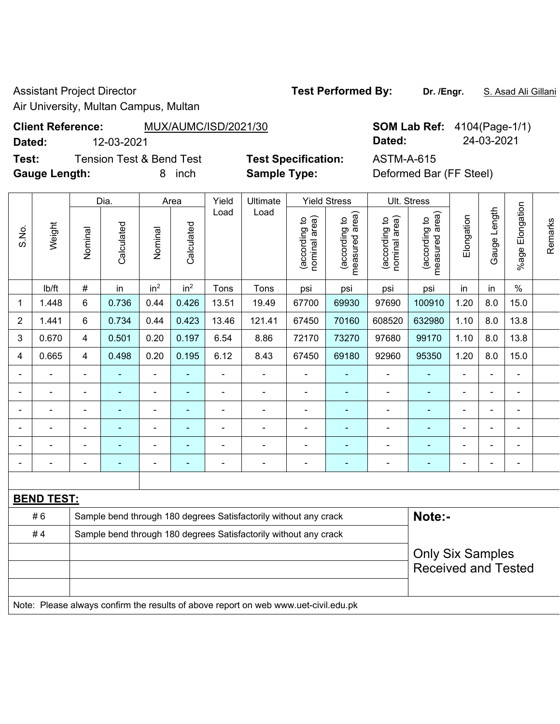Assistant Project Director **Test Performed By:** Dr. /Engr. **S. Asad Ali Gillani** 

Τ

 $\top$ 

Air University, Multan Campus, Multan

## **Client Reference:** MUX/AUMC/ISD/2021/30 **SOM Lab Ref:** 4104(Page-1/1)

**Dated:** 12-03-2021 **Dated:** 24-03-2021

**Test:** Tension Test & Bend Test **Test Specification:** ASTM-A-615 **Gauge Length:** 8 inch **Sample Type:** Deformed Bar (FF Steel)

|                |                   | Dia.<br>Yield<br>Ultimate<br><b>Yield Stress</b><br>Area |                |                 |                 |                |                                                                  |                                | Ult. Stress                     |                                |                                 |                          |                              |                 |         |
|----------------|-------------------|----------------------------------------------------------|----------------|-----------------|-----------------|----------------|------------------------------------------------------------------|--------------------------------|---------------------------------|--------------------------------|---------------------------------|--------------------------|------------------------------|-----------------|---------|
| S.No.          | Weight            | Nominal                                                  | Calculated     | Nominal         | Calculated      | Load           | Load                                                             | nominal area)<br>(according to | measured area)<br>(according to | (according to<br>nominal area) | (according to<br>measured area) | Elongation               | Gauge Length                 | %age Elongation | Remarks |
|                | Ib/ft             | #                                                        | in             | in <sup>2</sup> | in <sup>2</sup> | Tons           | Tons                                                             | psi                            | psi                             | psi                            | psi                             | in                       | in                           | $\%$            |         |
| 1              | 1.448             | 6                                                        | 0.736          | 0.44            | 0.426           | 13.51          | 19.49                                                            | 67700                          | 69930                           | 97690                          | 100910                          | 1.20                     | 8.0                          | 15.0            |         |
| $\overline{2}$ | 1.441             | 6                                                        | 0.734          | 0.44            | 0.423           | 13.46          | 121.41                                                           | 67450                          | 70160                           | 608520                         | 632980                          | 1.10                     | 8.0                          | 13.8            |         |
| 3              | 0.670             | 4                                                        | 0.501          | 0.20            | 0.197           | 6.54           | 8.86                                                             | 72170                          | 73270                           | 97680                          | 99170                           | 1.10                     | 8.0                          | 13.8            |         |
| 4              | 0.665             | 4                                                        | 0.498          | 0.20            | 0.195           | 6.12           | 8.43                                                             | 67450                          | 69180                           | 92960                          | 95350                           | 1.20                     | 8.0                          | 15.0            |         |
|                |                   | $\blacksquare$                                           |                | ۰               | $\blacksquare$  |                |                                                                  | $\blacksquare$                 | $\blacksquare$                  |                                | L,                              | $\blacksquare$           | $\blacksquare$               | $\blacksquare$  |         |
|                |                   | $\blacksquare$                                           |                | ۰               | $\blacksquare$  |                | $\blacksquare$                                                   | $\blacksquare$                 | $\blacksquare$                  |                                | ÷,                              | $\blacksquare$           | $\blacksquare$               | $\blacksquare$  |         |
| $\blacksquare$ | $\blacksquare$    | $\blacksquare$                                           |                | ۰               | $\blacksquare$  | $\blacksquare$ | $\blacksquare$                                                   | $\blacksquare$                 | ٠                               |                                | $\blacksquare$                  | $\blacksquare$           | $\blacksquare$               | ٠               |         |
|                |                   | ٠                                                        |                | Ξ.              | $\blacksquare$  |                |                                                                  | ٠                              |                                 |                                | ÷                               | $\overline{\phantom{0}}$ | $\qquad \qquad \blacksquare$ |                 |         |
| $\blacksquare$ |                   | ٠                                                        |                | $\blacksquare$  | $\blacksquare$  |                |                                                                  | $\blacksquare$                 | ٠                               |                                | $\blacksquare$                  | $\overline{a}$           | $\blacksquare$               | Ē,              |         |
|                |                   | ۰                                                        | $\blacksquare$ | ۰               | ÷               | $\blacksquare$ | $\overline{a}$                                                   | $\blacksquare$                 | $\blacksquare$                  | $\overline{\phantom{0}}$       | ÷                               | $\blacksquare$           | ۰                            | $\overline{a}$  |         |
|                |                   |                                                          |                |                 |                 |                |                                                                  |                                |                                 |                                |                                 |                          |                              |                 |         |
|                | <b>BEND TEST:</b> |                                                          |                |                 |                 |                |                                                                  |                                |                                 |                                |                                 |                          |                              |                 |         |
|                | #6                |                                                          |                |                 |                 |                | Sample bend through 180 degrees Satisfactorily without any crack |                                |                                 |                                | Note:-                          |                          |                              |                 |         |
|                | #4                |                                                          |                |                 |                 |                | Sample bend through 180 degrees Satisfactorily without any crack |                                |                                 |                                |                                 |                          |                              |                 |         |
|                |                   |                                                          |                |                 |                 |                |                                                                  |                                |                                 |                                | <b>Only Six Samples</b>         |                          |                              |                 |         |
|                |                   |                                                          |                |                 |                 |                |                                                                  |                                |                                 |                                | <b>Received and Tested</b>      |                          |                              |                 |         |
|                |                   |                                                          |                |                 |                 |                |                                                                  |                                |                                 |                                |                                 |                          |                              |                 |         |

Note: Please always confirm the results of above report on web www.uet-civil.edu.pk

Τ

Τ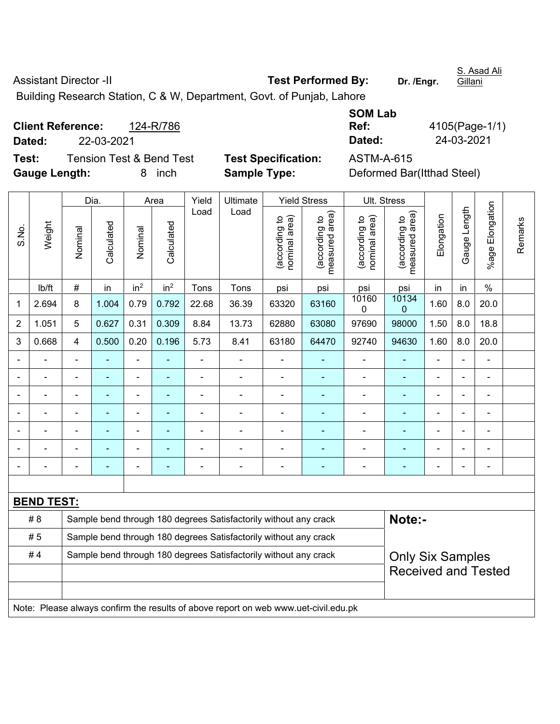| <b>Assistant Director -II</b>                                      | <b>Test Performed By:</b> | Dr. /Engr. |
|--------------------------------------------------------------------|---------------------------|------------|
| Duilding Dessensh Otation O.O.M. Department Osut of Duplets Lebens |                           |            |

**Gillani** 

Building Research Station, C & W, Department, Govt. of Punjab, Lahore

**Client Reference:** 124-R/786 **Dated:** 22-03-2021 **Dated: Dated:** 

**Test:** Tension Test & Bend Test **Test Specification:** ASTM-A-615 **Gauge Length:** 8 inch **Sample Type:** Deformed Bar(Itthad Steel)

**SOM Lab Ref:** 4105(Page-1/1)<br> **Dated:** 24-03-2021

|                |                   |                | Dia.                                                                       |                 | Area            | Yield          | Ultimate                                                                            |                                | <b>Yield Stress</b>             |                                | <b>Ult. Stress</b>              |                          |              |                 |         |
|----------------|-------------------|----------------|----------------------------------------------------------------------------|-----------------|-----------------|----------------|-------------------------------------------------------------------------------------|--------------------------------|---------------------------------|--------------------------------|---------------------------------|--------------------------|--------------|-----------------|---------|
| S.No.          | Weight            | Nominal        | Calculated                                                                 | Nominal         | Calculated      | Load           | Load                                                                                | (according to<br>nominal area) | (according to<br>measured area) | (according to<br>nominal area) | (according to<br>measured area) | Elongation               | Gauge Length | %age Elongation | Remarks |
|                | lb/ft             | #              | in                                                                         | in <sup>2</sup> | in <sup>2</sup> | Tons           | Tons                                                                                | psi                            | psi                             | psi                            | psi                             | in                       | in           | $\frac{0}{0}$   |         |
| 1              | 2.694             | 8              | 1.004                                                                      | 0.79            | 0.792           | 22.68          | 36.39                                                                               | 63320                          | 63160                           | 10160<br>0                     | 10134<br>$\mathbf 0$            | 1.60                     | 8.0          | 20.0            |         |
| $\overline{2}$ | 1.051             | 5              | 0.627                                                                      | 0.31            | 0.309           | 8.84           | 13.73                                                                               | 62880                          | 63080                           | 97690                          | 98000                           | 1.50                     | 8.0          | 18.8            |         |
| 3              | 0.668             | $\overline{4}$ | 0.500                                                                      | 0.20            | 0.196           | 5.73           | 8.41                                                                                | 63180                          | 64470                           | 92740                          | 94630                           | 1.60                     | 8.0          | 20.0            |         |
|                |                   | $\blacksquare$ | $\blacksquare$                                                             | L,              |                 | $\blacksquare$ | $\blacksquare$                                                                      | $\blacksquare$                 | $\blacksquare$                  | $\blacksquare$                 | $\blacksquare$                  | $\blacksquare$           |              | ÷,              |         |
|                | $\blacksquare$    | $\blacksquare$ | $\blacksquare$                                                             | ÷,              | $\blacksquare$  | $\blacksquare$ | $\blacksquare$                                                                      | $\blacksquare$                 | $\blacksquare$                  | $\blacksquare$                 | $\blacksquare$                  | $\blacksquare$           |              | $\blacksquare$  |         |
|                | $\blacksquare$    | $\blacksquare$ | $\blacksquare$                                                             | ÷               |                 | ä,             | Ē,                                                                                  | $\blacksquare$                 | ÷                               | ä,                             | $\blacksquare$                  | $\overline{\phantom{a}}$ |              | $\blacksquare$  |         |
|                | $\blacksquare$    |                | ÷,                                                                         | ÷,              |                 | Ē,             | ä,                                                                                  | $\blacksquare$                 | ÷                               | $\blacksquare$                 | $\blacksquare$                  | ÷,                       |              | $\blacksquare$  |         |
|                |                   |                | -                                                                          | ä,              |                 | L,             | ä,                                                                                  | $\blacksquare$                 |                                 | ä,                             |                                 | L,                       |              | ä,              |         |
|                |                   |                | ۳                                                                          | $\blacksquare$  |                 |                | $\overline{\phantom{0}}$                                                            |                                |                                 | ٠                              | $\blacksquare$                  | $\blacksquare$           |              |                 |         |
|                |                   |                |                                                                            | ٠               |                 |                |                                                                                     |                                |                                 |                                |                                 | $\blacksquare$           |              | $\blacksquare$  |         |
|                |                   |                |                                                                            |                 |                 |                |                                                                                     |                                |                                 |                                |                                 |                          |              |                 |         |
|                | <b>BEND TEST:</b> |                |                                                                            |                 |                 |                |                                                                                     |                                |                                 |                                |                                 |                          |              |                 |         |
|                | # 8               |                | Note:-<br>Sample bend through 180 degrees Satisfactorily without any crack |                 |                 |                |                                                                                     |                                |                                 |                                |                                 |                          |              |                 |         |
|                | #5                |                |                                                                            |                 |                 |                | Sample bend through 180 degrees Satisfactorily without any crack                    |                                |                                 |                                |                                 |                          |              |                 |         |
|                | #4                |                |                                                                            |                 |                 |                | Sample bend through 180 degrees Satisfactorily without any crack                    |                                |                                 |                                | <b>Only Six Samples</b>         |                          |              |                 |         |
|                |                   |                |                                                                            |                 |                 |                |                                                                                     |                                |                                 |                                | <b>Received and Tested</b>      |                          |              |                 |         |
|                |                   |                |                                                                            |                 |                 |                |                                                                                     |                                |                                 |                                |                                 |                          |              |                 |         |
|                |                   |                |                                                                            |                 |                 |                | Note: Please always confirm the results of above report on web www.uet-civil.edu.pk |                                |                                 |                                |                                 |                          |              |                 |         |

S. Asad Ali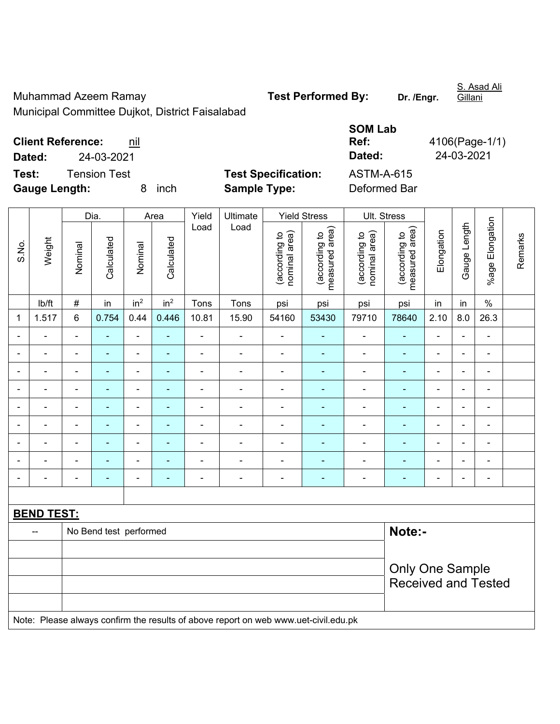Muhammad Azeem Ramay **Test Performed By:** Dr. /Engr.

S. Asad Ali Gillani

Municipal Committee Dujkot, District Faisalabad

| <b>SOM Lab</b>    |                |
|-------------------|----------------|
| Ref:              | 4106(Page-1/1) |
| Dated:            | 24-03-2021     |
| <b>ASTM-A-615</b> |                |
| Defermed Der      |                |

**Client Reference: nil Dated:** 24-03-2021 **Dated:** 24-03-2021 **Test:** Tension Test **Test Specification:** 

**Gauge Length:** 8 inch **Sample Type:** Deformed Bar

|                |                   |                                  | Dia.           |                          | Area            | Yield                    | Ultimate                                                                            |                                | <b>Yield Stress</b>             |                                | Ult. Stress                     |                          |                |                          |         |
|----------------|-------------------|----------------------------------|----------------|--------------------------|-----------------|--------------------------|-------------------------------------------------------------------------------------|--------------------------------|---------------------------------|--------------------------------|---------------------------------|--------------------------|----------------|--------------------------|---------|
| S.No.          | Weight            | Nominal                          | Calculated     | Nominal                  | Calculated      | Load                     | Load                                                                                | nominal area)<br>(according to | (according to<br>measured area) | nominal area)<br>(according to | (according to<br>measured area) | Elongation               | Gauge Length   | %age Elongation          | Remarks |
|                | lb/ft             | #                                | in             | in <sup>2</sup>          | in <sup>2</sup> | Tons                     | Tons                                                                                | psi                            | psi                             | psi                            | psi                             | in                       | in             | $\%$                     |         |
| 1              | 1.517             | 6                                | 0.754          | 0.44                     | 0.446           | 10.81                    | 15.90                                                                               | 54160                          | 53430                           | 79710                          | 78640                           | 2.10                     | 8.0            | 26.3                     |         |
| ä,             |                   | $\blacksquare$                   | $\blacksquare$ | ÷,                       | ä,              | $\blacksquare$           | $\blacksquare$                                                                      | $\blacksquare$                 | ٠                               | $\blacksquare$                 | ÷                               | ÷,                       | $\blacksquare$ | $\blacksquare$           |         |
| $\blacksquare$ |                   | $\blacksquare$                   | ٠              | $\blacksquare$           | ۰               | $\overline{\phantom{a}}$ | $\overline{\phantom{a}}$                                                            | $\blacksquare$                 | ٠                               | $\overline{a}$                 | $\blacksquare$                  | $\blacksquare$           | $\blacksquare$ | $\overline{\phantom{a}}$ |         |
| $\blacksquare$ | $\blacksquare$    | $\blacksquare$                   | $\blacksquare$ | $\blacksquare$           | $\blacksquare$  | $\blacksquare$           | $\blacksquare$                                                                      | $\blacksquare$                 | ٠                               | $\overline{\phantom{a}}$       | $\blacksquare$                  | $\blacksquare$           | ÷              | $\blacksquare$           |         |
|                |                   |                                  | ٠              | $\overline{a}$           | ۰               | $\blacksquare$           |                                                                                     | $\blacksquare$                 | $\blacksquare$                  |                                |                                 | $\blacksquare$           |                | $\blacksquare$           |         |
|                |                   |                                  |                | ÷                        |                 |                          |                                                                                     | Ē,                             |                                 |                                |                                 | L.                       |                |                          |         |
| $\blacksquare$ |                   | $\blacksquare$                   | $\blacksquare$ | $\blacksquare$           | ۰               |                          | $\overline{a}$                                                                      | $\blacksquare$                 | ۰                               | $\overline{a}$                 | $\blacksquare$                  | $\blacksquare$           | $\blacksquare$ | ÷                        |         |
| $\overline{a}$ |                   | $\blacksquare$                   | $\blacksquare$ | $\overline{\phantom{0}}$ | ۰               | $\overline{a}$           | $\overline{\phantom{a}}$                                                            | $\blacksquare$                 | ۰                               | $\overline{\phantom{a}}$       | $\blacksquare$                  | $\overline{\phantom{0}}$ |                | ÷                        |         |
|                |                   | $\blacksquare$                   | ÷,             | $\blacksquare$           | ۰               | ä,                       | $\blacksquare$                                                                      | ä,                             | $\blacksquare$                  | $\overline{a}$                 | $\blacksquare$                  | $\blacksquare$           |                | $\blacksquare$           |         |
|                |                   | $\blacksquare$                   | $\blacksquare$ | $\overline{a}$           | ۰               | L,                       | $\blacksquare$                                                                      | $\blacksquare$                 | ٠                               | $\blacksquare$                 | $\blacksquare$                  | $\blacksquare$           |                | $\blacksquare$           |         |
|                |                   |                                  |                |                          |                 |                          |                                                                                     |                                |                                 |                                |                                 |                          |                |                          |         |
|                | <b>BEND TEST:</b> |                                  |                |                          |                 |                          |                                                                                     |                                |                                 |                                |                                 |                          |                |                          |         |
|                | $\overline{a}$    | Note:-<br>No Bend test performed |                |                          |                 |                          |                                                                                     |                                |                                 |                                |                                 |                          |                |                          |         |
|                |                   |                                  |                |                          |                 |                          |                                                                                     |                                |                                 |                                |                                 |                          |                |                          |         |
|                |                   |                                  |                |                          |                 |                          |                                                                                     |                                |                                 |                                | <b>Only One Sample</b>          |                          |                |                          |         |
|                |                   |                                  |                |                          |                 |                          |                                                                                     |                                |                                 |                                | <b>Received and Tested</b>      |                          |                |                          |         |
|                |                   |                                  |                |                          |                 |                          |                                                                                     |                                |                                 |                                |                                 |                          |                |                          |         |
|                |                   |                                  |                |                          |                 |                          | Note: Please always confirm the results of above report on web www.uet-civil.edu.pk |                                |                                 |                                |                                 |                          |                |                          |         |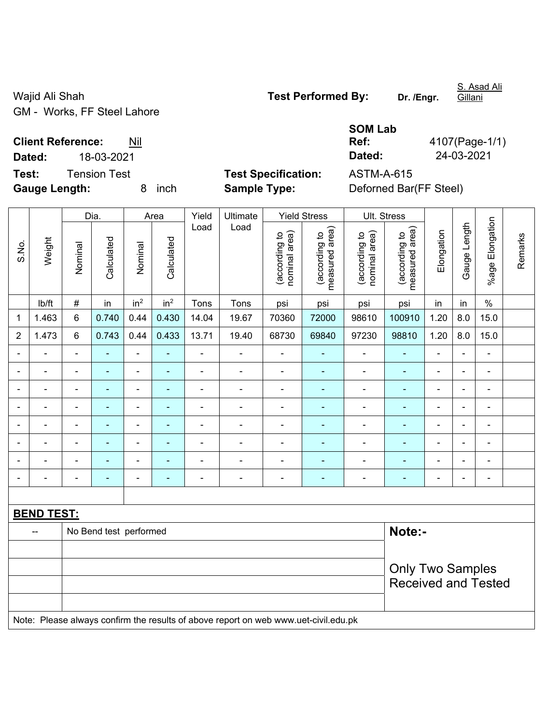Wajid Ali Shah **Test Performed By:** Dr. /Engr. GM - Works, FF Steel Lahore

S. Asad Ali Gillani

**Test:** Tension Test **Test Specification:** ASTM-A-615

**Gauge Length:** 8 inch **Sample Type:** Deforned Bar(FF Steel)

|                          |            | <b>SOM Lab</b> |                |  |  |  |  |
|--------------------------|------------|----------------|----------------|--|--|--|--|
| <b>Client Reference:</b> | Nil        | Ref:           | 4107(Page-1/1) |  |  |  |  |
| Dated:                   | 18-03-2021 | Dated:         | 24-03-2021     |  |  |  |  |

|                   | Weight                                                                              | Dia.                   |                | Area            |                          | Yield                        | Ultimate       | <b>Yield Stress</b>            |                                 | Ult. Stress                    |                                 |                |                          |                          |         |  |
|-------------------|-------------------------------------------------------------------------------------|------------------------|----------------|-----------------|--------------------------|------------------------------|----------------|--------------------------------|---------------------------------|--------------------------------|---------------------------------|----------------|--------------------------|--------------------------|---------|--|
| S.No.             |                                                                                     | Nominal                | Calculated     | Nominal         | Calculated               | Load                         | Load           | nominal area)<br>(according to | measured area)<br>(according to | nominal area)<br>(according to | measured area)<br>(according to | Elongation     | Gauge Length             | %age Elongation          | Remarks |  |
|                   | lb/ft                                                                               | $\#$                   | in             | in <sup>2</sup> | in <sup>2</sup>          | Tons                         | Tons           | psi                            | psi                             | psi                            | psi                             | in             | in                       | $\%$                     |         |  |
| 1                 | 1.463                                                                               | $6\phantom{1}$         | 0.740          | 0.44            | 0.430                    | 14.04                        | 19.67          | 70360                          | 72000                           | 98610                          | 100910                          | 1.20           | 8.0                      | 15.0                     |         |  |
| $\overline{2}$    | 1.473                                                                               | $\,6\,$                | 0.743          | 0.44            | 0.433                    | 13.71                        | 19.40          | 68730                          | 69840                           | 97230                          | 98810                           | 1.20           | 8.0                      | 15.0                     |         |  |
|                   |                                                                                     |                        |                | ÷               | $\blacksquare$           | $\blacksquare$               | $\blacksquare$ | ä,                             |                                 |                                | $\overline{\phantom{0}}$        | $\blacksquare$ |                          | $\blacksquare$           |         |  |
|                   | $\blacksquare$                                                                      |                        | L.             | ÷,              | ۳                        | $\blacksquare$               | ÷              | ä,                             | ٠                               | $\blacksquare$                 | $\blacksquare$                  | $\blacksquare$ | $\blacksquare$           | $\blacksquare$           |         |  |
| $\blacksquare$    | $\blacksquare$                                                                      | $\blacksquare$         | ÷              | ÷               | $\blacksquare$           | $\overline{a}$               | ÷              | $\blacksquare$                 | ÷                               | ÷                              | ٠                               | $\blacksquare$ | $\blacksquare$           | ä,                       |         |  |
|                   | $\blacksquare$                                                                      | $\blacksquare$         | $\blacksquare$ | ۰               | $\blacksquare$           | $\qquad \qquad \blacksquare$ | $\blacksquare$ | ä,                             |                                 | $\overline{a}$                 | ۰                               | $\blacksquare$ | $\blacksquare$           | $\overline{\phantom{a}}$ |         |  |
|                   | $\blacksquare$                                                                      | $\blacksquare$         | $\blacksquare$ | $\blacksquare$  | $\overline{\phantom{0}}$ | $\blacksquare$               | ÷              | $\blacksquare$                 | $\blacksquare$                  | $\qquad \qquad \blacksquare$   | $\blacksquare$                  | $\blacksquare$ | $\overline{\phantom{a}}$ | $\blacksquare$           |         |  |
|                   |                                                                                     |                        |                | ÷,              | $\overline{\phantom{0}}$ | $\blacksquare$               | ÷              | $\overline{a}$                 |                                 | ÷,                             | ÷                               |                |                          | ÷                        |         |  |
|                   |                                                                                     |                        |                |                 |                          |                              |                |                                |                                 |                                | ۰                               |                |                          |                          |         |  |
|                   |                                                                                     |                        |                | $\blacksquare$  | ۳                        | $\blacksquare$               | ÷              | ä,                             | ٠                               | $\blacksquare$                 | ۰                               | $\blacksquare$ |                          | ÷                        |         |  |
|                   |                                                                                     |                        |                |                 |                          |                              |                |                                |                                 |                                |                                 |                |                          |                          |         |  |
| <b>BEND TEST:</b> |                                                                                     |                        |                |                 |                          |                              |                |                                |                                 |                                |                                 |                |                          |                          |         |  |
|                   |                                                                                     | No Bend test performed |                |                 |                          |                              |                |                                |                                 |                                |                                 | Note:-         |                          |                          |         |  |
|                   |                                                                                     |                        |                |                 |                          |                              |                |                                |                                 |                                |                                 |                |                          |                          |         |  |
|                   |                                                                                     |                        |                |                 |                          |                              |                |                                |                                 |                                | <b>Only Two Samples</b>         |                |                          |                          |         |  |
|                   |                                                                                     |                        |                |                 |                          |                              |                |                                |                                 | <b>Received and Tested</b>     |                                 |                |                          |                          |         |  |
|                   | Note: Please always confirm the results of above report on web www.uet-civil.edu.pk |                        |                |                 |                          |                              |                |                                |                                 |                                |                                 |                |                          |                          |         |  |